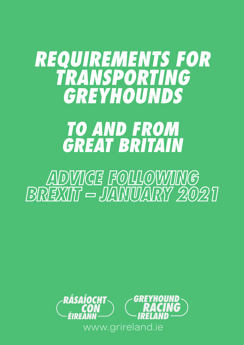# *REQUIREMENTS FOR TRANSPORTING GREYHOUNDS TO AND FROM GREAT BRITAIN*

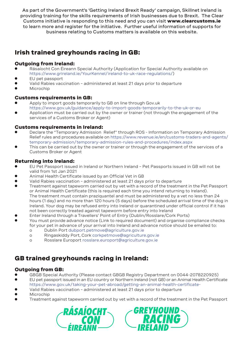As part of the Government's 'Getting Ireland Brexit Ready' campaign, Skillnet Ireland is providing training for the skills requirements of Irish businesses due to Brexit. The Clear Customs initiative is responding to this need and you can visit www.clearcustoms.ie to learn more and register for the initiative. Further useful information of supports for business relating to Customs matters is available on this website.

# Irish trained greyhounds racing in GB:

# Outgoing from Ireland:

- l Rásaíocht Con Éireann Special Authority (Application for Special Authority available on https://www.grireland.ie/YourKennel/ireland-to-uk-race-regulations/)
- **e** EU pet passport
- l Valid Rabies vaccination administered at least 21 days prior to departure
- Microchip

## Customs requirements in GB:

- l Apply to import goods temporarily to GB on line through Gov.uk https://www.gov.uk/guidance/apply-to-import-goods-temporarily-to-the-uk-or-eu
- l Application must be carried out by the owner or trainer (not through the engagement of the services of a Customs Broker or Agent)

# Customs requirements in Ireland:

- l Declare the "Temporary Admission Relief" through ROS Information on Temporary Admission Relief rules and procedures available on https://www.revenue.ie/en/customs-traders-and-agents/ temporary-admission/temporary-admission-rules-and-procedures/index.aspx
- l This can be carried out by the owner or trainer or through the engagement of the services of a Customs Broker or Agent

# Returning into Ireland:

- l EU Pet Passport issued in Ireland or Northern Ireland Pet Passports issued in GB will not be valid from 1st Jan 2021
- Animal Health Certificate issued by an Official Vet in GB
- Valid Rabies vaccination administered at least 21 days prior to departure
- l Treatment against tapeworm carried out by vet with a record of the treatment in the Pet Passport or Animal Health Certificate (this is required each time you intend returning to Ireland). The treatment must contain praziquantel and must be administered by a vet no less than 24 hours (1 day) and no more than 120 hours (5 days) before the scheduled arrival time of the dog in Ireland. Your dog may be refused entry into Ireland or quarantined under official control if it has not been correctly treated against tapeworm before entry into Ireland
- l Enter Ireland through a Travellers' Point of Entry (Dublin/Rosslare/Cork Ports)
- l You must provide advance notice (Link to required document) and organise compliance checks for your pet in advance of your arrival into Ireland and advance notice should be emailed to:
	- o Dublin Port dubport.petmove@agriculture.gov.ie
	- o Ringaskiddy Port, Cork corkpetmove@agriculture.gov.ie
	- o Rosslare Europort rosslare.europort@agriculture.gov.ie

# GB trained greyhounds racing in Ireland:

## Outgoing from GB:

- GBGB Special Authority (Please contact GBGB Registry Department on 0044-2078220925)
- l EU pet passport issued in an EU country or Northern Ireland (not GB) or an Animal Health Certificate https://www.gov.uk/taking-your-pet-abroad/getting-an-animal-health-certificate-
- Valid Rabies vaccination administered at least 21 days prior to departure
- Microchip
- l Treatment against tapeworm carried out by vet with a record of the treatment in the Pet Passport



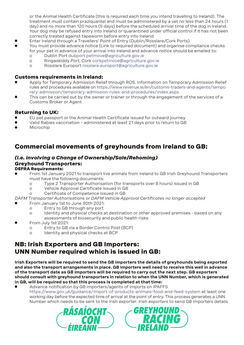or the Animal Health Certificate (this is required each time you intend travelling to Ireland). The treatment must contain praziquantel and must be administered by a vet no less than 24 hours (1 day) and no more than 120 hours (5 days) before the scheduled arrival time of the dog in Ireland. Your dog may be refused entry into Ireland or quarantined under official control if it has not been correctly treated against tapeworm before entry into Ireland

- l Enter Ireland through a Travellers' Point of Entry (Dublin/Rosslare/Cork Ports)
- l You must provide advance notice (Link to required document) and organise compliance checks for your pet in advance of your arrival into Ireland and advance notice should be emailed to:
	- o Dublin Port dubport.petmove@agriculture.gov.ie
	- o Ringaskiddy Port, Cork corkpetmove@agriculture.gov.ie
	- o Rosslare Europort rosslare.europort@agriculture.gov.ie

#### Customs requirements in Ireland:

- l Apply for Temporary Admission Relief through ROS. Information on Temporary Admission Relief rules and procedures available on https://www.revenue.ie/en/customs-traders-and-agents/tempo rary-admission/temporary-admission-rules-and-procedures/index.aspx
- This can be carried out by the owner or trainer or through the engagement of the services of a Customs Broker or Agent

## Returning to UK:

- EU pet passport or the Animal Health Certificate issued for outward journey
- l Valid Rabies vaccination administered at least 21 days prior to return to GB
- Microchip

# Commercial movements of greyhounds from Ireland to GB:

#### *(i.e. involving a Change of Ownership/Sale/Rehoming)* Greyhound Transporters: DEFRA Requirements:

- l From 1st January 2021 to transport live animals from Ireland to GB Irish Greyhound Transporters must have the following documents:
	- o Type 2 Transporter Authorisation (for transports over 8 hours) issued in GB
	- o Vehicle Approval Certificate issued in GB
	- o Certificate of Competence issued in GB

#### *DAFM Transporter Authorisations or DAFM Vehicle Approval Certificates no longer accepted*

- l From January 1st to June 30th 2021:
	- o Entry to GB through any port
	- o Identity and physical checks at destination or other approved premises based on any assessments of biosecurity and public health risks
- From July 1st 2021:
	- o Entry to GB via a Border Control Post (BCP)
	- o Identity and physical checks at BCP

# NB: Irish Exporters and GB Importers: UNN Number required which is issued in GB:

**Irish Exporters will be required to send the GB importers the details of greyhounds being exported and also the transport arrangements in place. GB importers well need to receive this well in advance of the transport date as GB importers will be required to carry out the next step. GB exporters should consult with greyhound transporters in relation to when the UNN Number, which is generated in GB, will be required so that this process is completed at that time:**

Advance notification by GB importers/agents of imports on IPAFFS https://www.gov.uk/guidance/import-of-products-animals-food-and-feed-system at least one working day before the expected time of arrival at the point of entry. This process generates a UNN Number which needs to be sent to the Irish exporter. Irish exporters to send GB importers details



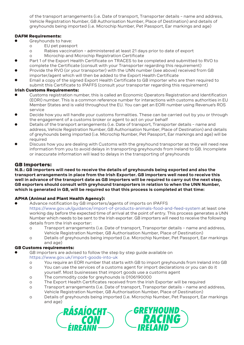of the transport arrangements (i.e. Date of transport, Transporter details – name and address, Vehicle Registration Number, GB Authorisation Number, Place of Destination) and details of greyhounds being imported (i.e. Microchip Number, Pet Passport, Ear markings and age)

#### DAFM Requirements:

- Greyhounds to have:
	- o EU pet passport
	- o Rabies vaccination administered at least 21 days prior to date of export
	- o Microchip and Microchip Registration Certificate
- Part 1 of the Export Health Certificate on TRACES to be completed and submitted to RVO to complete the Certificate (consult with your Transporter regarding this requirement)
- Provide the RVO (or your transporter) with the UNN number (see above) received from GB importer/agent which will then be added to the Export Health Certificate
- Email a copy of the signed Export Health Certificate to GB importer who are then required to submit this Certificate to IPAFFS (consult your transporter regarding this requirement)

#### Irish Customs Requirements:

- l Customs registration number, this is called an Economic Operators Registration and Identification (EORI) number. This is a common reference number for interactions with customs authorities in EU Member States and is valid throughout the EU. You can get an EORI number using Revenue's ROS service
- l Decide how you will handle your customs formalities. These can be carried out by you or through the engagement of a customs broker or agent to act on your behalf
- Details of the transport arrangements (i.e. Date of transport, Transporter details name and address, Vehicle Registration Number, GB Authorisation Number, Place of Destination) and details of greyhounds being imported (i.e. Microchip Number, Pet Passport, Ear markings and age) will be required
- Discuss how you are dealing with Customs with the greyhound transporter as they will need new information from you to avoid delays in transporting greyhounds from Ireland to GB. Incomplete or inaccurate information will lead to delays in the transporting of greyhounds

## GB Importers:

**N.B.: GB importers will need to receive the details of greyhounds being exported and also the transport arrangements in place from the Irish Exporter. GB importers well need to receive this well in advance of the transport date as GB importers will be required to carry out the next step. GB exporters should consult with greyhound transporters in relation to when the UNN Number, which is generated in GB, will be required so that this process is completed at that time:**

#### APHA (Animal and Plant Health Agency):

- Advance notification by GB importers/agents of imports on IPAFFS https://www.gov.uk/guidance/import-of-products-animals-food-and-feed-system at least one working day before the expected time of arrival at the point of entry. This process generates a UNN Number which needs to be sent to the Irish exporter. GB importers will need to receive the following details from the Irish exporter:
	- o Transport arrangements (i.e. Date of transport, Transporter details name and address, Vehicle Registration Number, GB Authorisation Number, Place of Destination)
	- o Details of greyhounds being imported (i.e. Microchip Number, Pet Passport, Ear markings and age)

#### GB Customs requirements:

- GB importers are advised to follow the step by step guide available on https://www.gov.uk/import-goods-into-uk
	- o You require an EORI number that starts with GB to import greyhounds from Ireland into GB
	- o You can use the services of a customs agent for import declarations or you can do it yourself. Most businesses that import goods use a customs agent
	- o The commodity code for greyhounds is 0106190000
	- o The Export Health Certificates received from the Irish Exporter will be required
	- o Transport arrangements (i.e. Date of transport, Transporter details name and address, Vehicle Registration Number, GB Authorisation Number, Place of Destination)
	- o Details of greyhounds being imported (i.e. Microchip Number, Pet Passport, Ear markings and age)



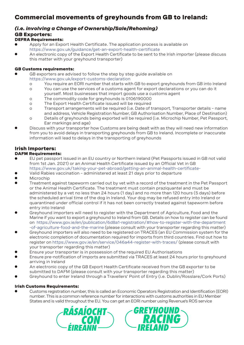# Commercial movements of greyhounds from GB to Ireland:

# *(i.e. involving a Change of Ownership/Sale/Rehoming)*

# GB Exporters:

## DEFRA Requirements:

- l Apply for an Export Health Certificate. The application process is available on https://www.gov.uk/guidance/get-an-export-health-certificate
- An electronic copy of the Export Health Certificate to be sent to the Irish importer (please discuss this matter with your greyhound transporter)

#### GB Customs requirements:

- GB exporters are advised to follow the step by step guide available on https://www.gov.uk/export-customs-declaration
	- o You require an EORI number that starts with GB to export greyhounds from GB into Ireland
	- o You can use the services of a customs agent for export declarations or you can do it yourself. Most businesses that import goods use a customs agent
	- o The commodity code for greyhounds is 0106190000
	- o The Export Health Certificate issued will be required
	- o Transport arrangements will be required (i.e. Date of transport, Transporter details name and address, Vehicle Registration Number, GB Authorisation Number, Place of Destination)
	- o Details of greyhounds being exported will be required (i.e. Microchip Number, Pet Passport, Ear markings and age)
- Discuss with your transporter how Customs are being dealt with as they will need new information from you to avoid delays in transporting greyhounds from GB to Ireland. Incomplete or inaccurate information will lead to delays in the transporting of greyhounds

# Irish Importers:

#### DAFM Requirements:

- l EU pet passport issued in an EU country or Northern Ireland (Pet Passports issued in GB not valid from 1st Jan. 2021) or an Animal Health Certificate issued by an Official Vet in GB https://www.gov.uk/taking-your-pet-abroad/getting-an-animal-health-certificate-
- l Valid Rabies vaccination administered at least 21 days prior to departure
- Microchip
- l Treatment against tapeworm carried out by vet with a record of the treatment in the Pet Passport or the Animal Health Certificate. The treatment must contain praziquantel and must be administered by a vet no less than 24 hours (1 day) and no more than 120 hours (5 days) before the scheduled arrival time of the dog in Ireland. Your dog may be refused entry into Ireland or quarantined under official control if it has not been correctly treated against tapeworm before entry into Ireland
- l Greyhound importers will need to register with the Department of Agriculture, Food and the Marine if you want to export a greyhound to Ireland from GB. Details on how to register can be found on https://www.gov.ie/en/publication/6d8a1-registration/#how-to-register-with-the-department -of-agriculture-food-and-the-marine (please consult with your transporter regarding this matter)
- l Greyhound importers will also need to be registered on TRACES (an EU Commission system for the electronic completion of documentation required for imports from third countries. Find out how to register on https://www.gov.ie/en/service/046a44-register-with-traces/ (please consult with your transporter regarding this matter)
- Ensure your transporter is in possession of the required EU Authorisations
- l Ensure pre-notification of imports are submitted via TRACES at least 24 hours prior to greyhound arriving in Ireland
- l An electronic copy of the GB Export Health Certificate received from the GB exporter to be submitted to DAFM (please consult with your transporter regarding this matter)
- l Greyhound to enter Ireland through a Travellers' Point of Entry (i.e. Dublin/Rosslare/Cork Ports)

#### Irish Customs Requirements:

l Customs registration number, this is called an Economic Operators Registration and Identification (EORI) number. This is a common reference number for interactions with customs authorities in EU Member States and is valid throughout the EU. You can get an EORI number using Revenue's ROS service